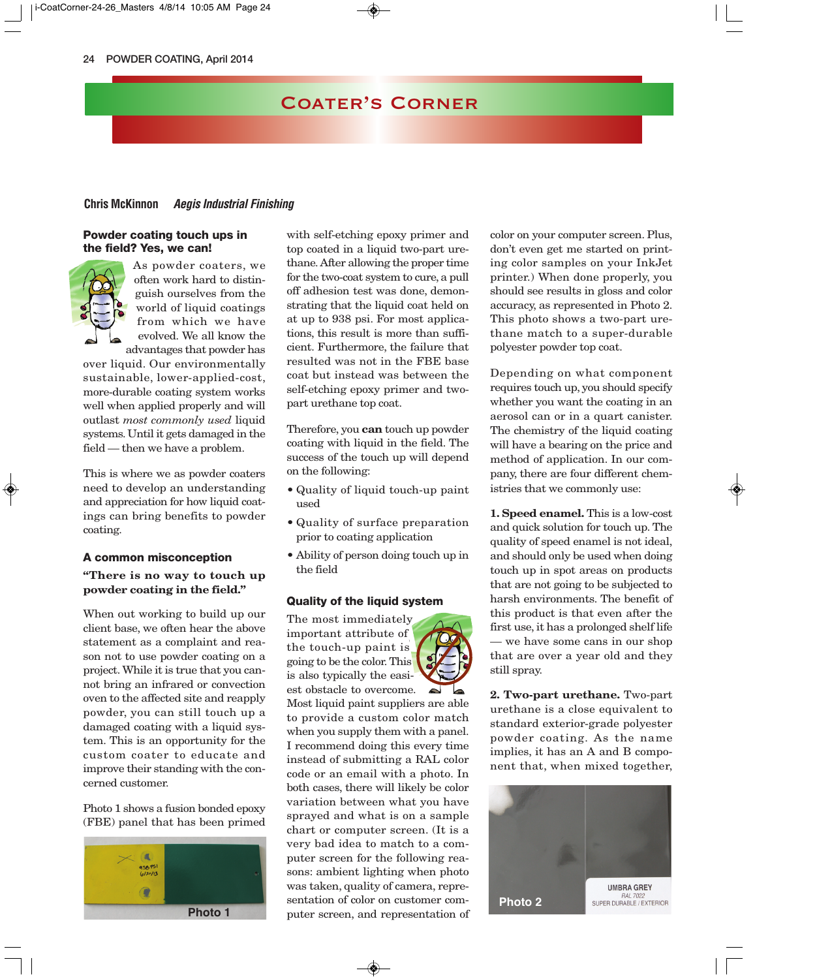### Coater's Corner

#### **Chris McKinnon Aegis Industrial Finishing**

#### **Powder coating touch ups in the field? Yes, we can!**



As powder coaters, we often work hard to distinguish ourselves from the world of liquid coatings from which we have evolved. We all know the advantages that powder has

over liquid. Our environmentally sustainable, lower-applied-cost, more-durable coating system works well when applied properly and will outlast *most commonly used* liquid systems. Until it gets damaged in the field — then we have a problem.

This is where we as powder coaters need to develop an understanding and appreciation for how liquid coatings can bring benefits to powder coating.

#### **A common misconception**

#### **"There is no way to touch up powder coating in the field."**

When out working to build up our client base, we often hear the above statement as a complaint and reason not to use powder coating on a project. While it is true that you cannot bring an infrared or convection oven to the affected site and reapply powder, you can still touch up a damaged coating with a liquid system. This is an opportunity for the custom coater to educate and improve their standing with the concerned customer.

Photo 1 shows a fusion bonded epoxy (FBE) panel that has been primed



with self-etching epoxy primer and top coated in a liquid two-part urethane. After allowing the proper time for the two-coat system to cure, a pull off adhesion test was done, demonstrating that the liquid coat held on at up to 938 psi. For most applications, this result is more than sufficient. Furthermore, the failure that resulted was not in the FBE base coat but instead was between the self-etching epoxy primer and twopart urethane top coat.

Therefore, you **can** touch up powder coating with liquid in the field. The success of the touch up will depend on the following:

- Quality of liquid touch-up paint used
- Quality of surface preparation prior to coating application
- Ability of person doing touch up in the field

#### **Quality of the liquid system**

The most immediately important attribute of the touch-up paint is going to be the color. This is also typically the easiest obstacle to overcome.



Most liquid paint suppliers are able to provide a custom color match when you supply them with a panel. I recommend doing this every time instead of submitting a RAL color code or an email with a photo. In both cases, there will likely be color variation between what you have sprayed and what is on a sample chart or computer screen. (It is a very bad idea to match to a computer screen for the following reasons: ambient lighting when photo was taken, quality of camera, representation of color on customer computer screen, and representation of color on your computer screen. Plus, don't even get me started on printing color samples on your InkJet printer.) When done properly, you should see results in gloss and color accuracy, as represented in Photo 2. This photo shows a two-part urethane match to a super-durable polyester powder top coat.

Depending on what component requires touch up, you should specify whether you want the coating in an aerosol can or in a quart canister. The chemistry of the liquid coating will have a bearing on the price and method of application. In our company, there are four different chemistries that we commonly use:

**1. Speed enamel.** This is a low-cost and quick solution for touch up. The quality of speed enamel is not ideal, and should only be used when doing touch up in spot areas on products that are not going to be subjected to harsh environments. The benefit of this product is that even after the first use, it has a prolonged shelf life — we have some cans in our shop that are over a year old and they still spray.

**2. Two-part urethane.** Two-part urethane is a close equivalent to standard exterior-grade polyester powder coating. As the name implies, it has an A and B component that, when mixed together,

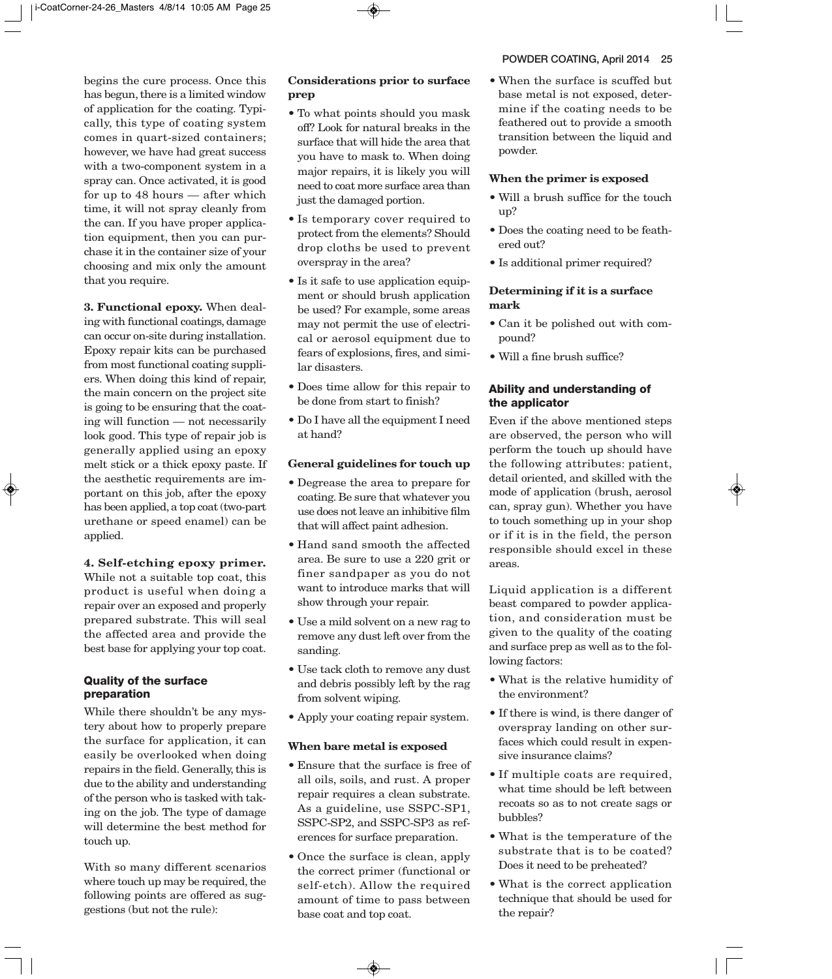begins the cure process. Once this has begun, there is a limited window of application for the coating. Typically, this type of coating system comes in quart-sized containers; however, we have had great success with a two-component system in a spray can. Once activated, it is good for up to 48 hours — after which time, it will not spray cleanly from the can. If you have proper application equipment, then you can purchase it in the container size of your choosing and mix only the amount that you require.

**3. Functional epoxy.** When dealing with functional coatings, damage can occur on-site during installation. Epoxy repair kits can be purchased from most functional coating suppliers. When doing this kind of repair, the main concern on the project site is going to be ensuring that the coating will function — not necessarily look good. This type of repair job is generally applied using an epoxy melt stick or a thick epoxy paste. If the aesthetic requirements are im portant on this job, after the epoxy has been applied, a top coat (two-part urethane or speed enamel) can be applied.

### **4. Self-etching epoxy primer.**

While not a suitable top coat, this product is useful when doing a repair over an exposed and properly prepared substrate. This will seal the affected area and provide the best base for applying your top coat.

#### **Quality of the surface preparation**

While there shouldn't be any mystery about how to properly prepare the surface for application, it can easily be overlooked when doing repairs in the field. Generally, this is due to the ability and understanding of the person who is tasked with taking on the job. The type of damage will determine the best method for touch up.

With so many different scenarios where touch up may be required, the following points are offered as suggestions (but not the rule):

#### **Considerations prior to surface prep**

- To what points should you mask off? Look for natural breaks in the surface that will hide the area that you have to mask to. When doing major repairs, it is likely you will need to coat more surface area than just the damaged portion.
- Is temporary cover required to protect from the elements? Should drop cloths be used to prevent overspray in the area?
- Is it safe to use application equipment or should brush application be used? For example, some areas may not permit the use of electrical or aerosol equipment due to fears of explosions, fires, and similar disasters.
- Does time allow for this repair to be done from start to finish?
- Do I have all the equipment I need at hand?

#### **General guidelines for touch up**

- Degrease the area to prepare for coating. Be sure that whatever you use does not leave an inhibitive film that will affect paint adhesion.
- Hand sand smooth the affected area. Be sure to use a 220 grit or finer sandpaper as you do not want to introduce marks that will show through your repair.
- Use a mild solvent on a new rag to remove any dust left over from the sanding.
- Use tack cloth to remove any dust and debris possibly left by the rag from solvent wiping.
- Apply your coating repair system.

#### **When bare metal is exposed**

- Ensure that the surface is free of all oils, soils, and rust. A proper repair requires a clean substrate. As a guideline, use SSPC-SP1, SSPC-SP2, and SSPC-SP3 as references for surface preparation.
- Once the surface is clean, apply the correct primer (functional or self-etch). Allow the required amount of time to pass between base coat and top coat.

• When the surface is scuffed but base metal is not exposed, determine if the coating needs to be feathered out to provide a smooth transition between the liquid and powder.

#### **When the primer is exposed**

- Will a brush suffice for the touch up?
- Does the coating need to be feathered out?
- Is additional primer required?

#### **Determining if it is a surface mark**

- Can it be polished out with compound?
- Will a fine brush suffice?

#### **Ability and understanding of the applicator**

Even if the above mentioned steps are observed, the person who will perform the touch up should have the following attributes: patient, detail oriented, and skilled with the mode of application (brush, aerosol can, spray gun). Whether you have to touch something up in your shop or if it is in the field, the person responsible should excel in these areas.

Liquid application is a different beast compared to powder application, and consideration must be given to the quality of the coating and surface prep as well as to the following factors:

- What is the relative humidity of the environment?
- If there is wind, is there danger of overspray landing on other surfaces which could result in expensive insurance claims?
- If multiple coats are required, what time should be left between recoats so as to not create sags or bubbles?
- What is the temperature of the substrate that is to be coated? Does it need to be preheated?
- What is the correct application technique that should be used for the repair?